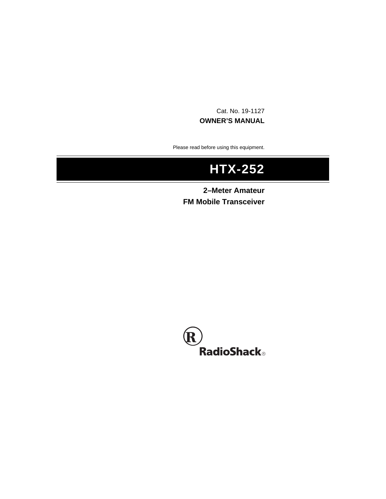Cat. No. 19-1127 **OWNER'S MANUAL**

Please read before using this equipment.

# **HTX-252**

**2–Meter Amateur FM Mobile Transceiver**

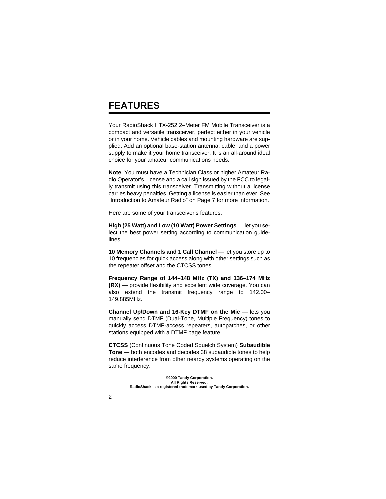### **FEATURES**

Your RadioShack HTX-252 2–Meter FM Mobile Transceiver is a compact and versatile transceiver, perfect either in your vehicle or in your home. Vehicle cables and mounting hardware are supplied. Add an optional base-station antenna, cable, and a power supply to make it your home transceiver. It is an all-around ideal choice for your amateur communications needs.

**Note**: You must have a Technician Class or higher Amateur Radio Operator's License and a call sign issued by the FCC to legally transmit using this transceiver. Transmitting without a license carries heavy penalties. Getting a license is easier than ever. See "Introduction to Amateur Radio" on Page 7 for more information.

Here are some of your transceiver's features.

**High (25 Watt) and Low (10 Watt) Power Settings** — let you select the best power setting according to communication guidelines.

10 Memory Channels and 1 Call Channel - let you store up to 10 frequencies for quick access along with other settings such as the repeater offset and the CTCSS tones.

**Frequency Range of 144–148 MHz (TX) and 136–174 MHz (RX)** — provide flexibility and excellent wide coverage. You can also extend the transmit frequency range to 142.00– 149.885MHz.

**Channel Up/Down and 16-Key DTMF on the Mic** — lets you manually send DTMF (Dual-Tone, Multiple Frequency) tones to quickly access DTMF-access repeaters, autopatches, or other stations equipped with a DTMF page feature.

**CTCSS** (Continuous Tone Coded Squelch System) **Subaudible Tone** — both encodes and decodes 38 subaudible tones to help reduce interference from other nearby systems operating on the same frequency.

> **©2000 Tandy Corporation. All Rights Reserved. RadioShack is a registered trademark used by Tandy Corporation.**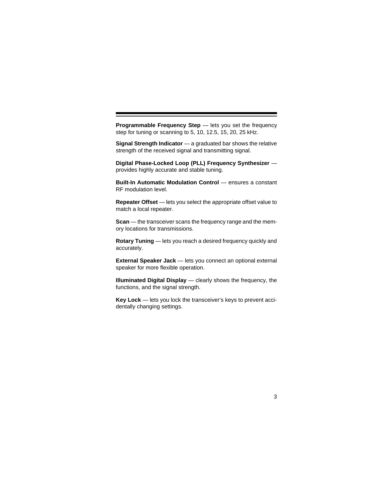**Programmable Frequency Step** — lets you set the frequency step for tuning or scanning to 5, 10, 12.5, 15, 20, 25 kHz.

**Signal Strength Indicator** — a graduated bar shows the relative strength of the received signal and transmitting signal.

**Digital Phase-Locked Loop (PLL) Frequency Synthesizer**  provides highly accurate and stable tuning.

**Built-In Automatic Modulation Control** — ensures a constant RF modulation level.

**Repeater Offset** — lets you select the appropriate offset value to match a local repeater.

**Scan** — the transceiver scans the frequency range and the memory locations for transmissions.

**Rotary Tuning** — lets you reach a desired frequency quickly and accurately.

**External Speaker Jack** — lets you connect an optional external speaker for more flexible operation.

**Illuminated Digital Display** — clearly shows the frequency, the functions, and the signal strength.

**Key Lock** — lets you lock the transceiver's keys to prevent accidentally changing settings.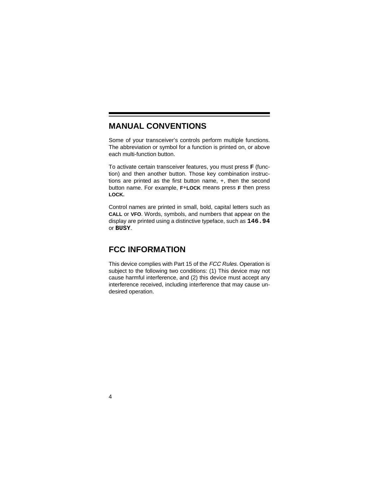### **MANUAL CONVENTIONS**

Some of your transceiver's controls perform multiple functions. The abbreviation or symbol for a function is printed on, or above each multi-function button.

To activate certain transceiver features, you must press **F** (function) and then another button. Those key combination instructions are printed as the first button name, +, then the second button name. For example, **F**+**LOCK** means press **F** then press **LOCK.**

Control names are printed in small, bold, capital letters such as **CALL** or **VFO**. Words, symbols, and numbers that appear on the display are printed using a distinctive typeface, such as **146.94** or **BUSY**.

### **FCC INFORMATION**

This device complies with Part 15 of the FCC Rules. Operation is subject to the following two conditions: (1) This device may not cause harmful interference, and (2) this device must accept any interference received, including interference that may cause undesired operation.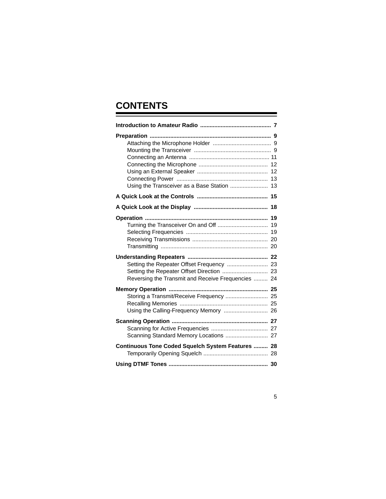# **CONTENTS**

| Using the Transceiver as a Base Station  13                                                     |  |
|-------------------------------------------------------------------------------------------------|--|
|                                                                                                 |  |
|                                                                                                 |  |
|                                                                                                 |  |
| Setting the Repeater Offset Frequency  23<br>Reversing the Transmit and Receive Frequencies  24 |  |
| Storing a Transmit/Receive Frequency  25                                                        |  |
|                                                                                                 |  |
| Continuous Tone Coded Squelch System Features  28                                               |  |
|                                                                                                 |  |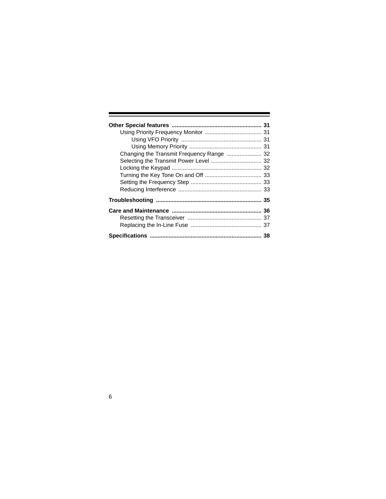| Changing the Transmit Frequency Range  32 |  |
|-------------------------------------------|--|
|                                           |  |
|                                           |  |
|                                           |  |
|                                           |  |
|                                           |  |
|                                           |  |
|                                           |  |
|                                           |  |
|                                           |  |
|                                           |  |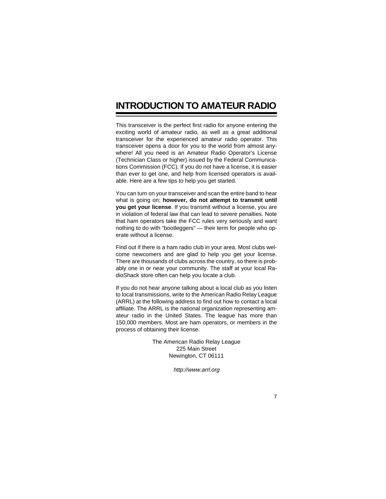## **INTRODUCTION TO AMATEUR RADIO**

This transceiver is the perfect first radio for anyone entering the exciting world of amateur radio, as well as a great additional transceiver for the experienced amateur radio operator. This transceiver opens a door for you to the world from almost anywhere! All you need is an Amateur Radio Operator's License (Technician Class or higher) issued by the Federal Communications Commission (FCC). If you do not have a license, it is easier than ever to get one, and help from licensed operators is available. Here are a few tips to help you get started.

You can turn on your transceiver and scan the entire band to hear what is going on; **however, do not attempt to transmit until you get your license**. If you transmit without a license, you are in violation of federal law that can lead to severe penalties. Note that ham operators take the FCC rules very seriously and want nothing to do with "bootleggers" — their term for people who operate without a license.

Find out if there is a ham radio club in your area. Most clubs welcome newcomers and are glad to help you get your license. There are thousands of clubs across the country, so there is probably one in or near your community. The staff at your local RadioShack store often can help you locate a club.

If you do not hear anyone talking about a local club as you listen to local transmissions, write to the American Radio Relay League (ARRL) at the following address to find out how to contact a local affiliate. The ARRL is the national organization representing amateur radio in the United States. The league has more than 150,000 members. Most are ham operators, or members in the process of obtaining their license.

> The American Radio Relay League 225 Main Street Newington, CT 06111

> > http://www.arrl.org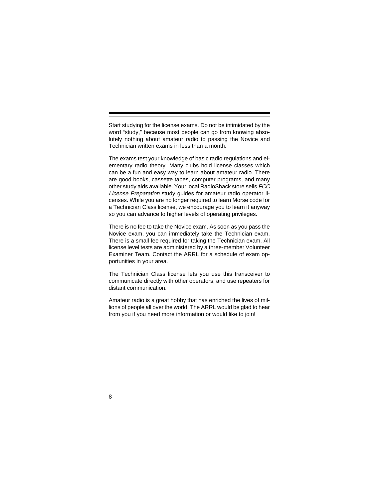Start studying for the license exams. Do not be intimidated by the word "study," because most people can go from knowing absolutely nothing about amateur radio to passing the Novice and Technician written exams in less than a month.

The exams test your knowledge of basic radio regulations and elementary radio theory. Many clubs hold license classes which can be a fun and easy way to learn about amateur radio. There are good books, cassette tapes, computer programs, and many other study aids available. Your local RadioShack store sells FCC License Preparation study guides for amateur radio operator licenses. While you are no longer required to learn Morse code for a Technician Class license, we encourage you to learn it anyway so you can advance to higher levels of operating privileges.

There is no fee to take the Novice exam. As soon as you pass the Novice exam, you can immediately take the Technician exam. There is a small fee required for taking the Technician exam. All license level tests are administered by a three-member Volunteer Examiner Team. Contact the ARRL for a schedule of exam opportunities in your area.

The Technician Class license lets you use this transceiver to communicate directly with other operators, and use repeaters for distant communication.

Amateur radio is a great hobby that has enriched the lives of millions of people all over the world. The ARRL would be glad to hear from you if you need more information or would like to join!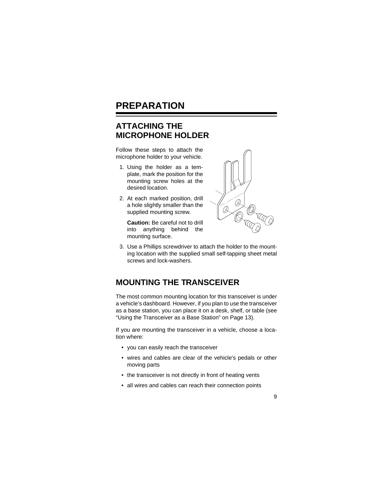### **PREPARATION**

### **ATTACHING THE MICROPHONE HOLDER**

Follow these steps to attach the microphone holder to your vehicle.

- 1. Using the holder as a template, mark the position for the mounting screw holes at the desired location.
- 2. At each marked position, drill a hole slightly smaller than the supplied mounting screw.

**Caution:** Be careful not to drill into anything behind the mounting surface.



3. Use a Phillips screwdriver to attach the holder to the mounting location with the supplied small self-tapping sheet metal screws and lock-washers.

### **MOUNTING THE TRANSCEIVER**

The most common mounting location for this transceiver is under a vehicle's dashboard. However, if you plan to use the transceiver as a base station, you can place it on a desk, shelf, or table (see "Using the Transceiver as a Base Station" on Page 13).

If you are mounting the transceiver in a vehicle, choose a location where:

- you can easily reach the transceiver
- wires and cables are clear of the vehicle's pedals or other moving parts
- the transceiver is not directly in front of heating vents
- all wires and cables can reach their connection points

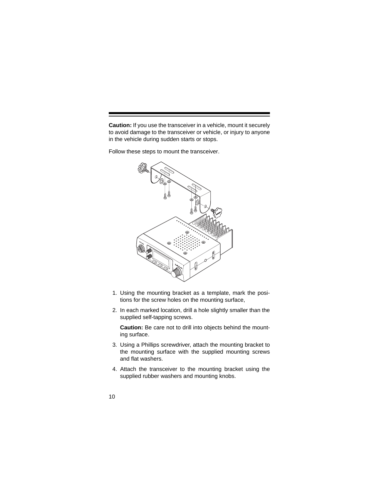**Caution:** If you use the transceiver in a vehicle, mount it securely to avoid damage to the transceiver or vehicle, or injury to anyone in the vehicle during sudden starts or stops.

Follow these steps to mount the transceiver.



- 1. Using the mounting bracket as a template, mark the positions for the screw holes on the mounting surface,
- 2. In each marked location, drill a hole slightly smaller than the supplied self-tapping screws.

**Caution:** Be care not to drill into objects behind the mounting surface.

- 3. Using a Phillips screwdriver, attach the mounting bracket to the mounting surface with the supplied mounting screws and flat washers.
- 4. Attach the transceiver to the mounting bracket using the supplied rubber washers and mounting knobs.
- 10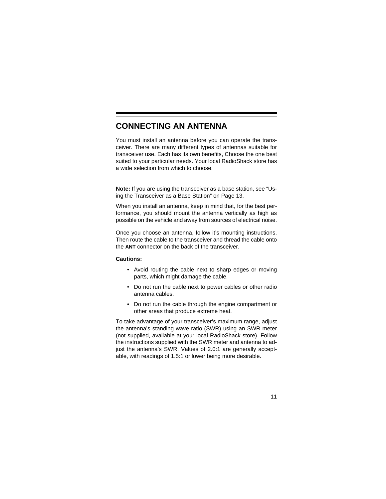#### **CONNECTING AN ANTENNA**

You must install an antenna before you can operate the transceiver. There are many different types of antennas suitable for transceiver use. Each has its own benefits, Choose the one best suited to your particular needs. Your local RadioShack store has a wide selection from which to choose.

**Note:** If you are using the transceiver as a base station, see "Using the Transceiver as a Base Station" on Page 13.

When you install an antenna, keep in mind that, for the best performance, you should mount the antenna vertically as high as possible on the vehicle and away from sources of electrical noise.

Once you choose an antenna, follow it's mounting instructions. Then route the cable to the transceiver and thread the cable onto the **ANT** connector on the back of the transceiver.

#### **Cautions:**

- Avoid routing the cable next to sharp edges or moving parts, which might damage the cable.
- Do not run the cable next to power cables or other radio antenna cables.
- Do not run the cable through the engine compartment or other areas that produce extreme heat.

To take advantage of your transceiver's maximum range, adjust the antenna's standing wave ratio (SWR) using an SWR meter (not supplied, available at your local RadioShack store). Follow the instructions supplied with the SWR meter and antenna to adjust the antenna's SWR. Values of 2.0:1 are generally acceptable, with readings of 1.5:1 or lower being more desirable.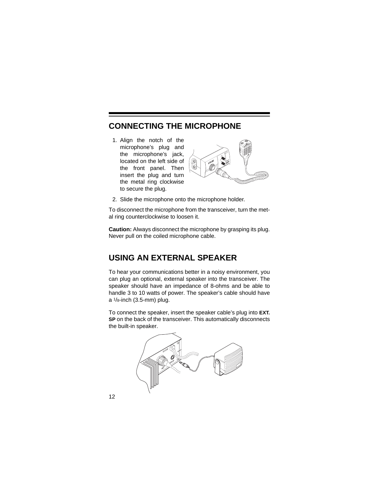### **CONNECTING THE MICROPHONE**

1. Align the notch of the microphone's plug and the microphone's jack, located on the left side of the front panel. Then insert the plug and turn the metal ring clockwise to secure the plug.



2. Slide the microphone onto the microphone holder.

To disconnect the microphone from the transceiver, turn the metal ring counterclockwise to loosen it.

**Caution:** Always disconnect the microphone by grasping its plug. Never pull on the coiled microphone cable.

### **USING AN EXTERNAL SPEAKER**

To hear your communications better in a noisy environment, you can plug an optional, external speaker into the transceiver. The speaker should have an impedance of 8-ohms and be able to handle 3 to 10 watts of power. The speaker's cable should have a 1/8-inch (3.5-mm) plug.

To connect the speaker, insert the speaker cable's plug into **EXT. SP** on the back of the transceiver. This automatically disconnects the built-in speaker.



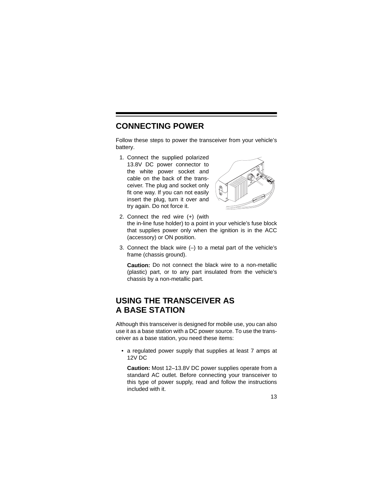#### **CONNECTING POWER**

Follow these steps to power the transceiver from your vehicle's battery.

1. Connect the supplied polarized 13.8V DC power connector to the white power socket and cable on the back of the transceiver. The plug and socket only fit one way. If you can not easily insert the plug, turn it over and try again. Do not force it.



- 2. Connect the red wire (+) (with the in-line fuse holder) to a point in your vehicle's fuse block that supplies power only when the ignition is in the ACC (accessory) or ON position.
- 3. Connect the black wire  $(-)$  to a metal part of the vehicle's frame (chassis ground).

**Caution:** Do not connect the black wire to a non-metallic (plastic) part, or to any part insulated from the vehicle's chassis by a non-metallic part.

### **USING THE TRANSCEIVER AS A BASE STATION**

Although this transceiver is designed for mobile use, you can also use it as a base station with a DC power source. To use the transceiver as a base station, you need these items:

• a regulated power supply that supplies at least 7 amps at 12V DC

**Caution:** Most 12–13.8V DC power supplies operate from a standard AC outlet. Before connecting your transceiver to this type of power supply, read and follow the instructions included with it.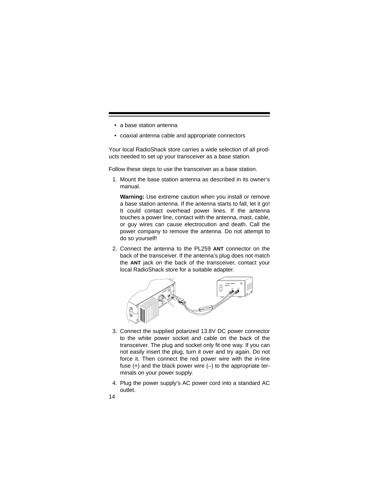- a base station antenna
- coaxial antenna cable and appropriate connectors

Your local RadioShack store carries a wide selection of all products needed to set up your transceiver as a base station.

Follow these steps to use the transceiver as a base station.

1. Mount the base station antenna as described in its owner's manual.

**Warning:** Use extreme caution when you install or remove a base station antenna. If the antenna starts to fall, let it go! It could contact overhead power lines. If the antenna touches a power line, contact with the antenna, mast, cable, or guy wires can cause electrocution and death. Call the power company to remove the antenna. Do not attempt to do so yourself!

2. Connect the antenna to the PL259 **ANT** connector on the back of the transceiver. If the antenna's plug does not match the **ANT** jack on the back of the transceiver, contact your local RadioShack store for a suitable adapter.



- 3. Connect the supplied polarized 13.8V DC power connector to the white power socket and cable on the back of the transceiver. The plug and socket only fit one way. If you can not easily insert the plug, turn it over and try again. Do not force it. Then connect the red power wire with the in-line fuse  $(+)$  and the black power wire  $(-)$  to the appropriate terminals on your power supply.
- 4. Plug the power supply's AC power cord into a standard AC outlet.
- 14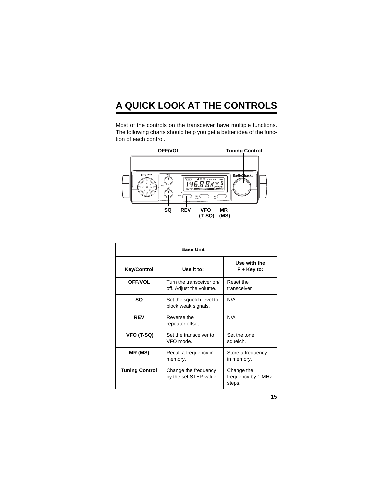# **A QUICK LOOK AT THE CONTROLS**

Most of the controls on the transceiver have multiple functions. The following charts should help you get a better idea of the function of each control.



| <b>Base Unit</b>      |                                                     |                                            |
|-----------------------|-----------------------------------------------------|--------------------------------------------|
| <b>Key/Control</b>    | Use it to:                                          | Use with the<br>F + Key to:                |
| <b>OFF/VOL</b>        | Turn the transceiver on/<br>off. Adjust the volume. | Reset the<br>transceiver                   |
| SQ                    | Set the squelch level to<br>block weak signals.     | N/A                                        |
| <b>REV</b>            | Reverse the<br>repeater offset.                     | N/A                                        |
| VFO (T-SQ)            | Set the transceiver to<br>VFO mode.                 | Set the tone<br>squelch.                   |
| MR (MS)               | Recall a frequency in<br>memory.                    | Store a frequency<br>in memory.            |
| <b>Tuning Control</b> | Change the frequency<br>by the set STEP value.      | Change the<br>frequency by 1 MHz<br>steps. |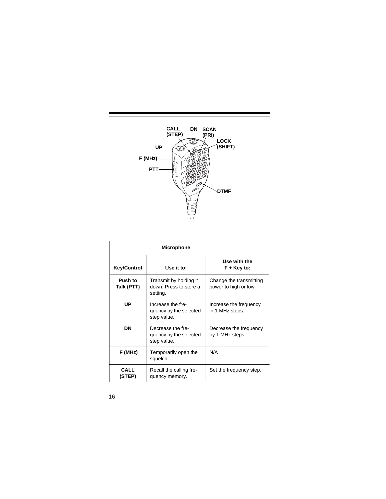

| <b>Microphone</b>     |                                                              |                                                  |
|-----------------------|--------------------------------------------------------------|--------------------------------------------------|
| <b>Key/Control</b>    | Use it to:                                                   | Use with the<br>F + Key to:                      |
| Push to<br>Talk (PTT) | Transmit by holding it<br>down, Press to store a<br>setting. | Change the transmitting<br>power to high or low. |
| UP                    | Increase the fre-<br>quency by the selected<br>step value.   | Increase the frequency<br>in 1 MHz steps.        |
| DN                    | Decrease the fre-<br>quency by the selected<br>step value.   | Decrease the frequency<br>by 1 MHz steps.        |
| F (MHz)               | Temporarily open the<br>squelch.                             | N/A                                              |
| <b>CALL</b><br>(STEP) | Recall the calling fre-<br>quency memory.                    | Set the frequency step.                          |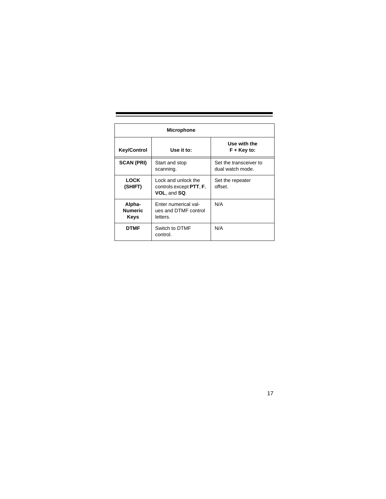| <b>Microphone</b>                |                                                                                |                                            |
|----------------------------------|--------------------------------------------------------------------------------|--------------------------------------------|
| <b>Key/Control</b>               | Use it to:                                                                     | Use with the<br>$F + Key to:$              |
| <b>SCAN (PRI)</b>                | Start and stop<br>scanning.                                                    | Set the transceiver to<br>dual watch mode. |
| <b>LOCK</b><br>(SHIFT)           | Lock and unlock the<br>controls except <b>PTT</b> , <b>F</b> ,<br>VOL, and SQ. | Set the repeater<br>offset.                |
| Alpha-<br><b>Numeric</b><br>Keys | Enter numerical val-<br>ues and DTMF control<br>letters.                       | N/A                                        |
| <b>DTMF</b>                      | Switch to DTMF<br>control.                                                     | N/A                                        |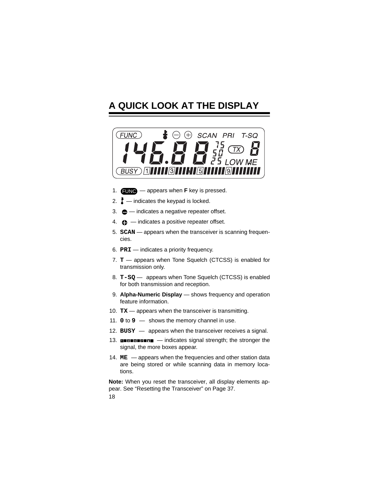## **A QUICK LOOK AT THE DISPLAY**



- 1.  $\times$  **FUNC** appears when **F** key is pressed.
- 2.  $\mathbf{I}$  indicates the keypad is locked.
- 3.  $\bigoplus$  indicates a negative repeater offset.
- 4.  $\bigoplus$  -indicates a positive repeater offset.
- 5. **SCAN** appears when the transceiver is scanning frequencies.
- 6. **PRI** indicates a priority frequency.
- 7. **T** appears when Tone Squelch (CTCSS) is enabled for transmission only.
- 8. **T-SQ** appears when Tone Squelch (CTCSS) is enabled for both transmission and reception.
- 9. **Alpha-Numeric Display**  shows frequency and operation feature information.
- 10. **TX** appears when the transceiver is transmitting.
- 11. **0** to **9**  shows the memory channel in use.
- 12. **BUSY**  appears when the transceiver receives a signal.
- 13. **INDIBUTER**  indicates signal strength; the stronger the signal, the more boxes appear.
- 14. **ME**  appears when the frequencies and other station data are being stored or while scanning data in memory locations.

18 **Note:** When you reset the transceiver, all display elements appear. See "Resetting the Transceiver" on Page 37.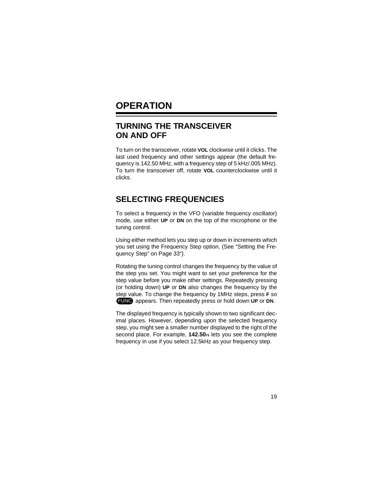### **OPERATION**

### **TURNING THE TRANSCEIVER ON AND OFF**

To turn on the transceiver, rotate **VOL** clockwise until it clicks. The last used frequency and other settings appear (the default frequency is 142.50 MHz, with a frequency step of 5 kHz/.005 MHz). To turn the transceiver off, rotate **VOL** counterclockwise until it clicks.

#### **SELECTING FREQUENCIES**

To select a frequency in the VFO (variable frequency oscillator) mode, use either **UP** or **DN** on the top of the microphone or the tuning control.

Using either method lets you step up or down in increments which you set using the Frequency Step option. (See "Setting the Frequency Step" on Page 33").

Rotating the tuning control changes the frequency by the value of the step you set. You might want to set your preference for the step value before you make other settings. Repeatedly pressing (or holding down) **UP** or **DN** also changes the frequency by the step value. To change the frequency by 1MHz steps, press **F** so FUNC appears. Then repeatedly press or hold down UP or DN.

The displayed frequency is typically shown to two significant decimal places. However, depending upon the selected frequency step, you might see a smaller number displayed to the right of the second place. For example, **142.50**<sup>75</sup> lets you see the complete frequency in use if you select 12.5kHz as your frequency step.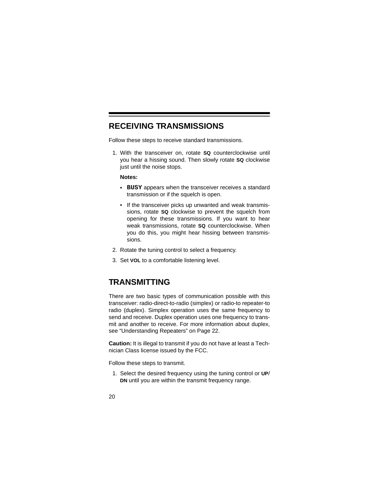#### **RECEIVING TRANSMISSIONS**

Follow these steps to receive standard transmissions.

1. With the transceiver on, rotate **SQ** counterclockwise until you hear a hissing sound. Then slowly rotate **SQ** clockwise just until the noise stops.

#### **Notes:**

- **BUSY** appears when the transceiver receives a standard transmission or if the squelch is open.
- If the transceiver picks up unwanted and weak transmissions, rotate **SQ** clockwise to prevent the squelch from opening for these transmissions. If you want to hear weak transmissions, rotate **SQ** counterclockwise. When you do this, you might hear hissing between transmissions.
- 2. Rotate the tuning control to select a frequency.
- 3. Set **VOL** to a comfortable listening level.

#### **TRANSMITTING**

There are two basic types of communication possible with this transceiver: radio-direct-to-radio (simplex) or radio-to repeater-to radio (duplex). Simplex operation uses the same frequency to send and receive. Duplex operation uses one frequency to transmit and another to receive. For more information about duplex, see "Understanding Repeaters" on Page 22.

**Caution:** It is illegal to transmit if you do not have at least a Technician Class license issued by the FCC.

Follow these steps to transmit.

- 1. Select the desired frequency using the tuning control or **UP**/ **DN** until you are within the transmit frequency range.
- 20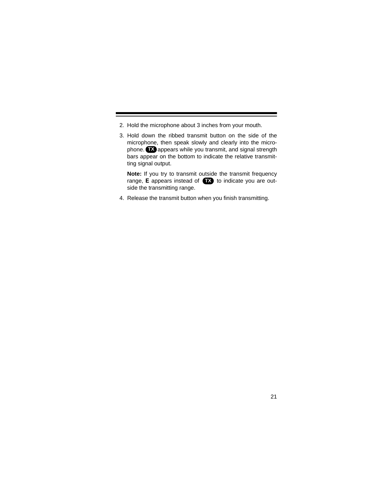- 2. Hold the microphone about 3 inches from your mouth.
- 3. Hold down the ribbed transmit button on the side of the microphone, then speak slowly and clearly into the microphone. **TX** appears while you transmit, and signal strength bars appear on the bottom to indicate the relative transmitting signal output.

**Note:** If you try to transmit outside the transmit frequency range, **E** appears instead of **TX** to indicate you are outside the transmitting range.

4. Release the transmit button when you finish transmitting.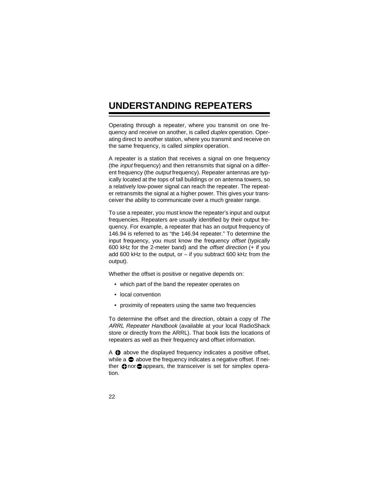## **UNDERSTANDING REPEATERS**

Operating through a repeater, where you transmit on one frequency and receive on another, is called *duplex* operation. Operating direct to another station, where you transmit and receive on the same frequency, is called simplex operation.

A repeater is a station that receives a signal on one frequency (the input frequency) and then retransmits that signal on a different frequency (the *output* frequency). Repeater antennas are typically located at the tops of tall buildings or on antenna towers, so a relatively low-power signal can reach the repeater. The repeater retransmits the signal at a higher power. This gives your transceiver the ability to communicate over a much greater range.

To use a repeater, you must know the repeater's input and output frequencies. Repeaters are usually identified by their output frequency. For example, a repeater that has an output frequency of 146.94 is referred to as "the 146.94 repeater." To determine the input frequency, you must know the frequency offset (typically 600 kHz for the 2-meter band) and the offset direction (+ if you add 600 kHz to the output, or  $-$  if you subtract 600 kHz from the output).

Whether the offset is positive or negative depends on:

- which part of the band the repeater operates on
- local convention
- proximity of repeaters using the same two frequencies

To determine the offset and the direction, obtain a copy of The ARRL Repeater Handbook (available at your local RadioShack store or directly from the ARRL). That book lists the locations of repeaters as well as their frequency and offset information.

A  $\bigoplus$  above the displayed frequency indicates a positive offset, while  $a \oplus ab$  ove the frequency indicates a negative offset. If neither  $\bigoplus$  nor  $\bigoplus$  appears, the transceiver is set for simplex operation.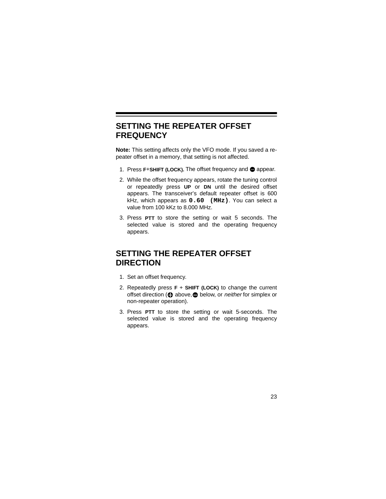### **SETTING THE REPEATER OFFSET FREQUENCY**

**Note:** This setting affects only the VFO mode. If you saved a repeater offset in a memory, that setting is not affected.

- 1. Press F+SHIFT (LOCK). The offset frequency and  $\bigcirc$  appear.
- 2. While the offset frequency appears, rotate the tuning control or repeatedly press **UP** or **DN** until the desired offset appears. The transceiver's default repeater offset is 600 kHz, which appears as **0.60 (MHz)**. You can select a value from 100 kKz to 8.000 MHz.
- 3. Press **PTT** to store the setting or wait 5 seconds. The selected value is stored and the operating frequency appears.

### **SETTING THE REPEATER OFFSET DIRECTION**

- 1. Set an offset frequency.
- 2. Repeatedly press **F** + **SHIFT (LOCK)** to change the current offset direction ( $\bigoplus$  above, $\bigoplus$  below, or *neither* for simplex or non-repeater operation).
- 3. Press **PTT** to store the setting or wait 5-seconds. The selected value is stored and the operating frequency appears.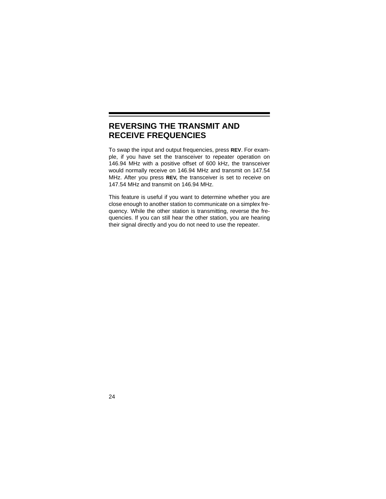### **REVERSING THE TRANSMIT AND RECEIVE FREQUENCIES**

To swap the input and output frequencies, press **REV**. For example, if you have set the transceiver to repeater operation on 146.94 MHz with a positive offset of 600 kHz, the transceiver would normally receive on 146.94 MHz and transmit on 147.54 MHz. After you press **REV,** the transceiver is set to receive on 147.54 MHz and transmit on 146.94 MHz.

This feature is useful if you want to determine whether you are close enough to another station to communicate on a simplex frequency. While the other station is transmitting, reverse the frequencies. If you can still hear the other station, you are hearing their signal directly and you do not need to use the repeater.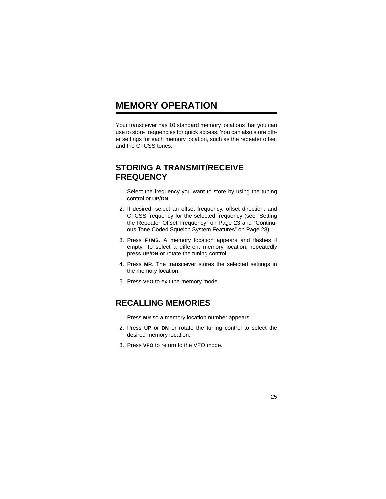## **MEMORY OPERATION**

Your transceiver has 10 standard memory locations that you can use to store frequencies for quick access. You can also store other settings for each memory location, such as the repeater offset and the CTCSS tones.

#### **STORING A TRANSMIT/RECEIVE FREQUENCY**

- 1. Select the frequency you want to store by using the tuning control or **UP**/**DN**.
- 2. If desired, select an offset frequency, offset direction, and CTCSS frequency for the selected frequency (see "Setting the Repeater Offset Frequency" on Page 23 and "Continuous Tone Coded Squelch System Features" on Page 28).
- 3. Press **F**+**MS**. A memory location appears and flashes if empty. To select a different memory location, repeatedly press **UP**/**DN** or rotate the tuning control.
- 4. Press **MR**. The transceiver stores the selected settings in the memory location.
- 5. Press **VFO** to exit the memory mode.

### **RECALLING MEMORIES**

- 1. Press **MR** so a memory location number appears.
- 2. Press **UP** or **DN** or rotate the tuning control to select the desired memory location.
- 3. Press **VFO** to return to the VFO mode.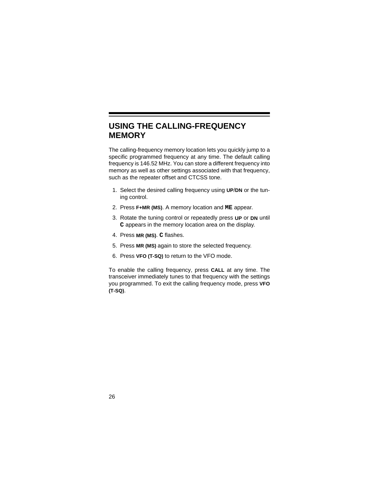### **USING THE CALLING-FREQUENCY MEMORY**

The calling-frequency memory location lets you quickly jump to a specific programmed frequency at any time. The default calling frequency is 146.52 MHz. You can store a different frequency into memory as well as other settings associated with that frequency, such as the repeater offset and CTCSS tone.

- 1. Select the desired calling frequency using **UP**/**DN** or the tuning control.
- 2. Press **F+MR (MS)**. A memory location and **ME** appear.
- 3. Rotate the tuning control or repeatedly press **UP** or **DN** until **C** appears in the memory location area on the display.
- 4. Press **MR (MS)**. **C** flashes.
- 5. Press **MR (MS)** again to store the selected frequency.
- 6. Press **VFO (T-SQ)** to return to the VFO mode.

To enable the calling frequency, press **CALL** at any time. The transceiver immediately tunes to that frequency with the settings you programmed. To exit the calling frequency mode, press **VFO (T-SQ)**.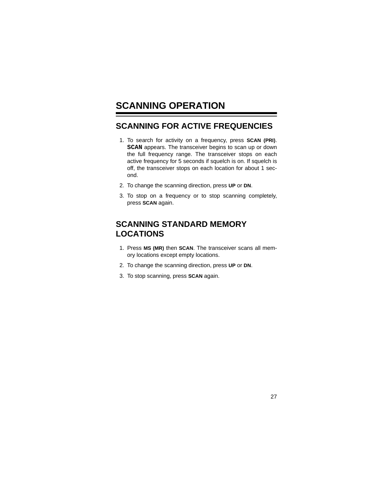## **SCANNING OPERATION**

#### **SCANNING FOR ACTIVE FREQUENCIES**

- 1. To search for activity on a frequency, press **SCAN (PRI)**. **SCAN** appears. The transceiver begins to scan up or down the full frequency range. The transceiver stops on each active frequency for 5 seconds if squelch is on. If squelch is off, the transceiver stops on each location for about 1 second.
- 2. To change the scanning direction, press **UP** or **DN**.
- 3. To stop on a frequency or to stop scanning completely, press **SCAN** again.

### **SCANNING STANDARD MEMORY LOCATIONS**

- 1. Press **MS (MR)** then **SCAN**. The transceiver scans all memory locations except empty locations.
- 2. To change the scanning direction, press **UP** or **DN**.
- 3. To stop scanning, press **SCAN** again.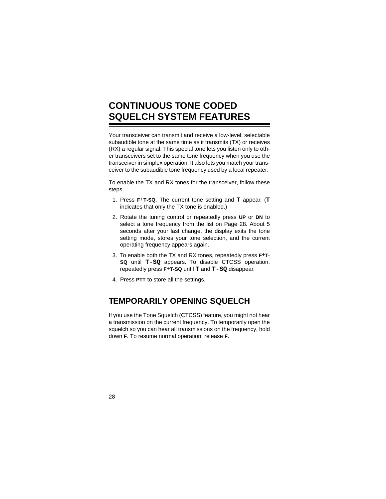## **CONTINUOUS TONE CODED SQUELCH SYSTEM FEATURES**

Your transceiver can transmit and receive a low-level, selectable subaudible tone at the same time as it transmits (TX) or receives (RX) a regular signal. This special tone lets you listen only to other transceivers set to the same tone frequency when you use the transceiver in simplex operation. It also lets you match your transceiver to the subaudible tone frequency used by a local repeater.

To enable the TX and RX tones for the transceiver, follow these steps.

- 1. Press **F**+**T-SQ**. The current tone setting and **T** appear. (**T** indicates that only the TX tone is enabled.)
- 2. Rotate the tuning control or repeatedly press **UP** or **DN** to select a tone frequency from the list on Page 28. About 5 seconds after your last change, the display exits the tone setting mode, stores your tone selection, and the current operating frequency appears again.
- 3. To enable both the TX and RX tones, repeatedly press **F**+**T-SQ** until **T-SQ** appears. To disable CTCSS operation, repeatedly press **F**+**T-SQ** until **T** and **T-SQ** disappear.
- 4. Press **PTT** to store all the settings.

#### **TEMPORARILY OPENING SQUELCH**

If you use the Tone Squelch (CTCSS) feature, you might not hear a transmission on the current frequency. To temporarily open the squelch so you can hear all transmissions on the frequency, hold down **F**. To resume normal operation, release **F**.

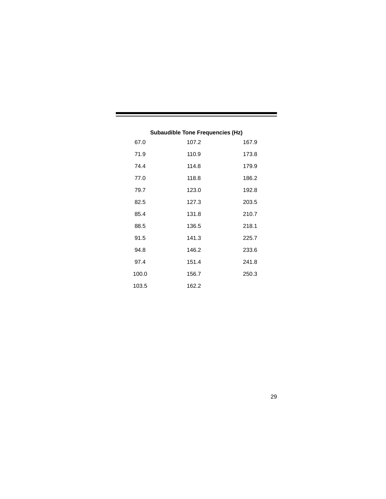| 67.0  | 107.2 | 167.9 |
|-------|-------|-------|
| 71.9  | 110.9 | 173.8 |
| 74.4  | 114.8 | 179.9 |
| 77.0  | 118.8 | 186.2 |
| 79.7  | 123.0 | 192.8 |
| 82.5  | 127.3 | 203.5 |
| 85.4  | 131.8 | 210.7 |
| 88.5  | 136.5 | 218.1 |
| 91.5  | 141.3 | 225.7 |
| 94.8  | 146.2 | 233.6 |
| 97.4  | 151.4 | 241.8 |
| 100.0 | 156.7 | 250.3 |
| 103.5 | 162.2 |       |

#### **Subaudible Tone Frequencies (Hz)**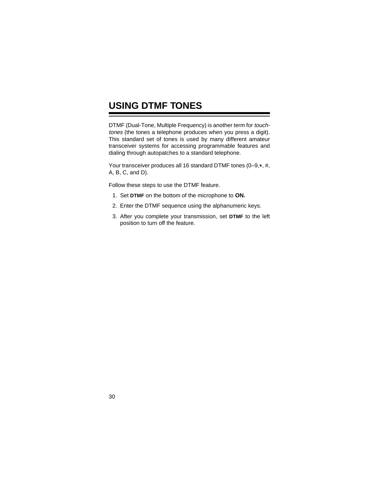## **USING DTMF TONES**

DTMF (Dual-Tone, Multiple Frequency) is another term for touchtones (the tones a telephone produces when you press a digit). This standard set of tones is used by many different amateur transceiver systems for accessing programmable features and dialing through autopatches to a standard telephone.

Your transceiver produces all 16 standard DTMF tones (0-9,\*, #, A, B, C, and D).

Follow these steps to use the DTMF feature.

- 1. Set **DTMF** on the bottom of the microphone to **ON.**
- 2. Enter the DTMF sequence using the alphanumeric keys.
- 3. After you complete your transmission, set **DTMF** to the left position to turn off the feature.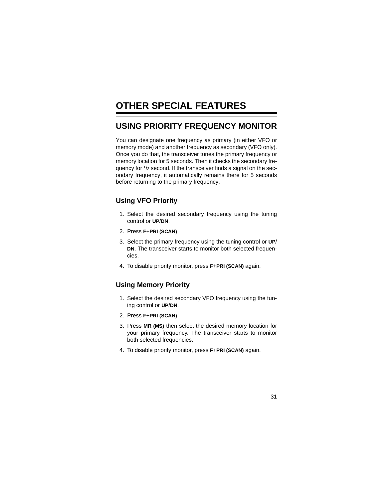## **OTHER SPECIAL FEATURES**

#### **USING PRIORITY FREQUENCY MONITOR**

You can designate one frequency as primary (in either VFO or memory mode) and another frequency as secondary (VFO only). Once you do that, the transceiver tunes the primary frequency or memory location for 5 seconds. Then it checks the secondary frequency for  $\frac{1}{2}$  second. If the transceiver finds a signal on the secondary frequency, it automatically remains there for 5 seconds before returning to the primary frequency.

#### **Using VFO Priority**

- 1. Select the desired secondary frequency using the tuning control or **UP**/**DN**.
- 2. Press **F**+**PRI (SCAN)**
- 3. Select the primary frequency using the tuning control or **UP**/ **DN**. The transceiver starts to monitor both selected frequencies.
- 4. To disable priority monitor, press **F**+**PRI (SCAN)** again.

#### **Using Memory Priority**

- 1. Select the desired secondary VFO frequency using the tuning control or **UP**/**DN**.
- 2. Press **F**+**PRI (SCAN)**
- 3. Press **MR (MS)** then select the desired memory location for your primary frequency. The transceiver starts to monitor both selected frequencies.
- 4. To disable priority monitor, press **F**+**PRI (SCAN)** again.

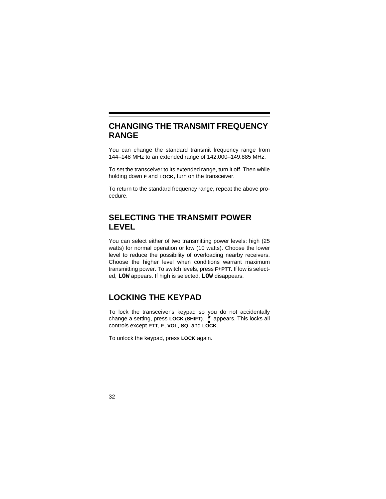#### **CHANGING THE TRANSMIT FREQUENCY RANGE**

You can change the standard transmit frequency range from 144–148 MHz to an extended range of 142.000–149.885 MHz.

To set the transceiver to its extended range, turn it off. Then while holding down **F** and **LOCK**, turn on the transceiver.

To return to the standard frequency range, repeat the above procedure.

### **SELECTING THE TRANSMIT POWER LEVEL**

You can select either of two transmitting power levels: high (25 watts) for normal operation or low (10 watts). Choose the lower level to reduce the possibility of overloading nearby receivers. Choose the higher level when conditions warrant maximum transmitting power. To switch levels, press **F**+**PTT**. If low is selected, **LOW** appears. If high is selected, **LOW** disappears.

### **LOCKING THE KEYPAD**

To lock the transceiver's keypad so you do not accidentally change a setting, press LOCK (SHIFT). appears. This locks all controls except **PTT**, **F**, **VOL**, **SQ**, and **LOCK**.

To unlock the keypad, press **LOCK** again.

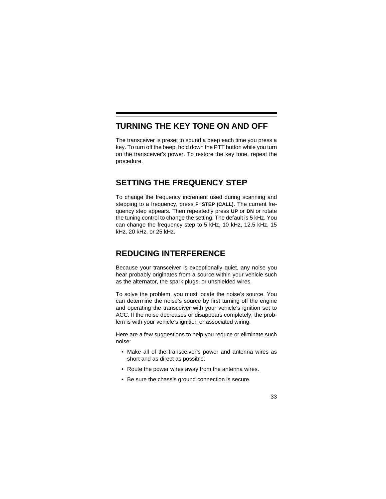#### **TURNING THE KEY TONE ON AND OFF**

The transceiver is preset to sound a beep each time you press a key. To turn off the beep, hold down the PTT button while you turn on the transceiver's power. To restore the key tone, repeat the procedure.

#### **SETTING THE FREQUENCY STEP**

To change the frequency increment used during scanning and stepping to a frequency, press **F**+**STEP (CALL)**. The current frequency step appears. Then repeatedly press **UP** or **DN** or rotate the tuning control to change the setting. The default is 5 kHz. You can change the frequency step to 5 kHz, 10 kHz, 12.5 kHz, 15 kHz, 20 kHz, or 25 kHz.

#### **REDUCING INTERFERENCE**

Because your transceiver is exceptionally quiet, any noise you hear probably originates from a source within your vehicle such as the alternator, the spark plugs, or unshielded wires.

To solve the problem, you must locate the noise's source. You can determine the noise's source by first turning off the engine and operating the transceiver with your vehicle's ignition set to ACC. If the noise decreases or disappears completely, the problem is with your vehicle's ignition or associated wiring.

Here are a few suggestions to help you reduce or eliminate such noise:

- Make all of the transceiver's power and antenna wires as short and as direct as possible.
- Route the power wires away from the antenna wires.
- Be sure the chassis ground connection is secure.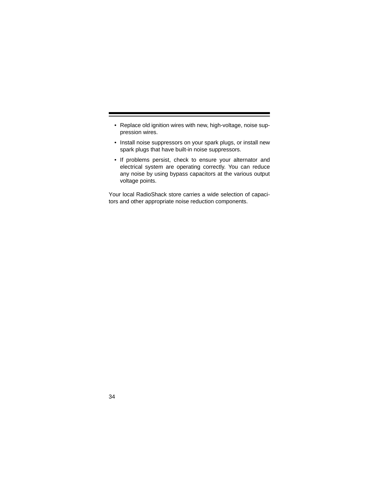- Replace old ignition wires with new, high-voltage, noise suppression wires.
- Install noise suppressors on your spark plugs, or install new spark plugs that have built-in noise suppressors.
- If problems persist, check to ensure your alternator and electrical system are operating correctly. You can reduce any noise by using bypass capacitors at the various output voltage points.

Your local RadioShack store carries a wide selection of capacitors and other appropriate noise reduction components.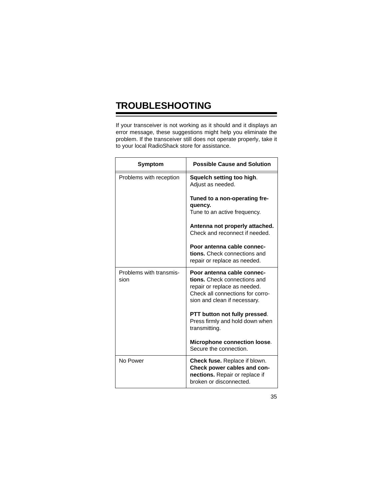# **TROUBLESHOOTING**

If your transceiver is not working as it should and it displays an error message, these suggestions might help you eliminate the problem. If the transceiver still does not operate properly, take it to your local RadioShack store for assistance.

| <b>Symptom</b>                  | <b>Possible Cause and Solution</b>                                                                                                                             |
|---------------------------------|----------------------------------------------------------------------------------------------------------------------------------------------------------------|
| Problems with reception         | Squelch setting too high.<br>Adjust as needed.                                                                                                                 |
|                                 | Tuned to a non-operating fre-<br>quency.<br>Tune to an active frequency.                                                                                       |
|                                 | Antenna not properly attached.<br>Check and reconnect if needed.                                                                                               |
|                                 | Poor antenna cable connec-<br>tions. Check connections and<br>repair or replace as needed.                                                                     |
| Problems with transmis-<br>sion | Poor antenna cable connec-<br>tions. Check connections and<br>repair or replace as needed.<br>Check all connections for corro-<br>sion and clean if necessary. |
|                                 | PTT button not fully pressed.<br>Press firmly and hold down when<br>transmitting.                                                                              |
|                                 | Microphone connection loose.<br>Secure the connection.                                                                                                         |
| No Power                        | <b>Check fuse.</b> Replace if blown.<br>Check power cables and con-<br>nections. Repair or replace if<br>broken or disconnected.                               |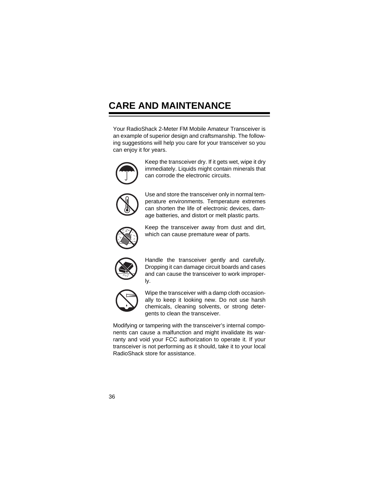## **CARE AND MAINTENANCE**

Your RadioShack 2-Meter FM Mobile Amateur Transceiver is an example of superior design and craftsmanship. The following suggestions will help you care for your transceiver so you can enjoy it for years.



Keep the transceiver dry. If it gets wet, wipe it dry immediately. Liquids might contain minerals that can corrode the electronic circuits.



Use and store the transceiver only in normal temperature environments. Temperature extremes can shorten the life of electronic devices, damage batteries, and distort or melt plastic parts.



Keep the transceiver away from dust and dirt, which can cause premature wear of parts.



Handle the transceiver gently and carefully. Dropping it can damage circuit boards and cases and can cause the transceiver to work improperly.



Wipe the transceiver with a damp cloth occasionally to keep it looking new. Do not use harsh chemicals, cleaning solvents, or strong detergents to clean the transceiver.

Modifying or tampering with the transceiver's internal components can cause a malfunction and might invalidate its warranty and void your FCC authorization to operate it. If your transceiver is not performing as it should, take it to your local RadioShack store for assistance.

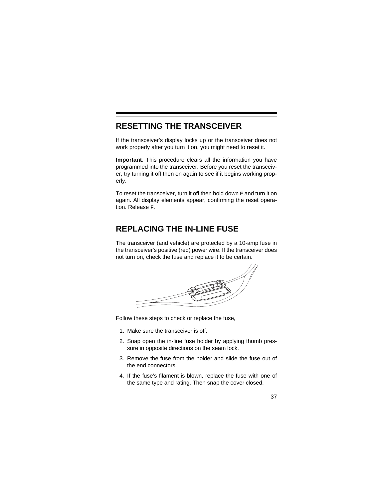### **RESETTING THE TRANSCEIVER**

If the transceiver's display locks up or the transceiver does not work properly after you turn it on, you might need to reset it.

**Important**: This procedure clears all the information you have programmed into the transceiver. Before you reset the transceiver, try turning it off then on again to see if it begins working properly.

To reset the transceiver, turn it off then hold down **F** and turn it on again. All display elements appear, confirming the reset operation. Release **F**.

#### **REPLACING THE IN-LINE FUSE**

The transceiver (and vehicle) are protected by a 10-amp fuse in the transceiver's positive (red) power wire. If the transceiver does not turn on, check the fuse and replace it to be certain.



Follow these steps to check or replace the fuse,

- 1. Make sure the transceiver is off.
- 2. Snap open the in-line fuse holder by applying thumb pressure in opposite directions on the seam lock.
- 3. Remove the fuse from the holder and slide the fuse out of the end connectors.
- 4. If the fuse's filament is blown, replace the fuse with one of the same type and rating. Then snap the cover closed.

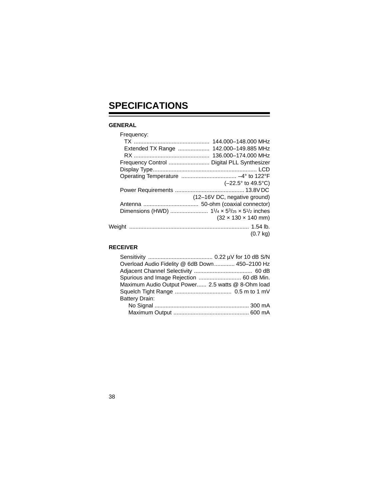# **SPECIFICATIONS**

#### **GENERAL**

| Frequency:        |                                            |
|-------------------|--------------------------------------------|
|                   | 144.000-148.000 MHz                        |
| Extended TX Range | 142.000-149.885 MHz                        |
|                   | 136.000-174.000 MHz                        |
|                   | Frequency Control  Digital PLL Synthesizer |
|                   |                                            |
|                   |                                            |
|                   | $(-22.5^{\circ}$ to 49.5 $^{\circ}$ C)     |
|                   |                                            |
|                   | (12-16V DC, negative ground)               |
|                   |                                            |
|                   |                                            |
|                   | $(32 \times 130 \times 140 \text{ mm})$    |
|                   |                                            |
|                   | $(0.7 \text{ kg})$                         |
|                   |                                            |

#### **RECEIVER**

| Overload Audio Fidelity @ 6dB Down 450-2100 Hz    |  |
|---------------------------------------------------|--|
|                                                   |  |
| Spurious and Image Rejection  60 dB Min.          |  |
| Maximum Audio Output Power 2.5 watts @ 8-Ohm load |  |
|                                                   |  |
| <b>Battery Drain:</b>                             |  |
|                                                   |  |
|                                                   |  |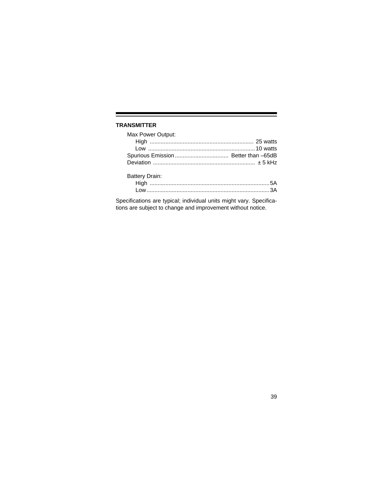#### **TRANSMITTER**

| Max Power Output:     |  |
|-----------------------|--|
|                       |  |
|                       |  |
|                       |  |
|                       |  |
| <b>Battery Drain:</b> |  |
|                       |  |
|                       |  |

Specifications are typical; individual units might vary. Specifications are subject to change and improvement without notice.